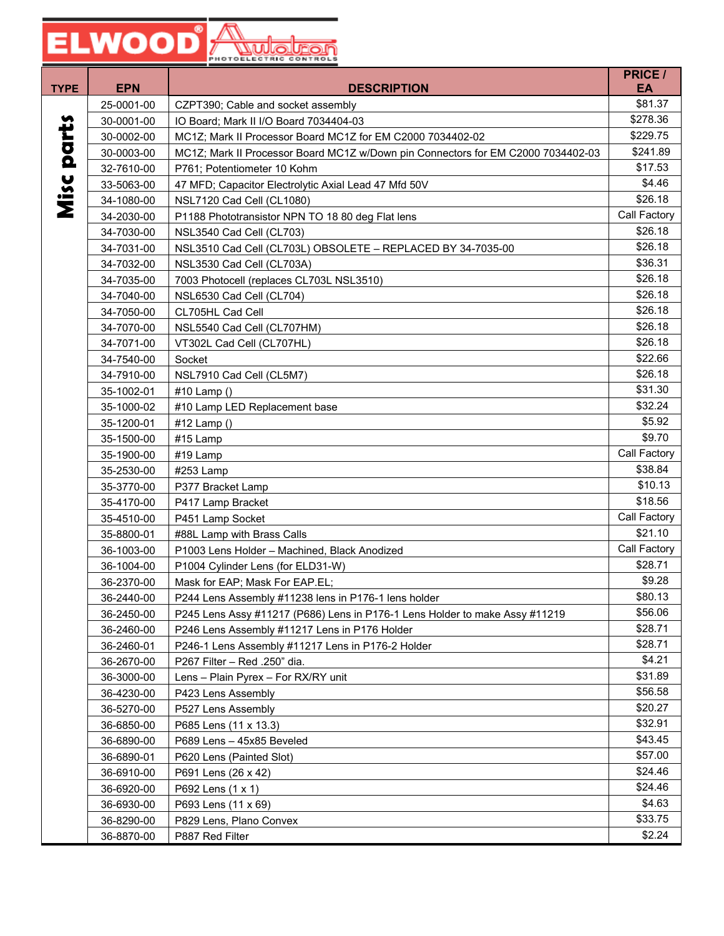| <b>TYPE</b> | <b>EPN</b> | <b>DESCRIPTION</b>                                                               | <b>PRICE /</b><br>EA |
|-------------|------------|----------------------------------------------------------------------------------|----------------------|
|             | 25-0001-00 | CZPT390; Cable and socket assembly                                               | \$81.37              |
|             | 30-0001-00 | IO Board; Mark II I/O Board 7034404-03                                           | \$278.36             |
|             | 30-0002-00 | MC1Z; Mark II Processor Board MC1Z for EM C2000 7034402-02                       | \$229.75             |
|             | 30-0003-00 | MC1Z; Mark II Processor Board MC1Z w/Down pin Connectors for EM C2000 7034402-03 | \$241.89             |
| parts       | 32-7610-00 | P761; Potentiometer 10 Kohm                                                      | \$17.53              |
|             | 33-5063-00 | 47 MFD; Capacitor Electrolytic Axial Lead 47 Mfd 50V                             | \$4.46               |
|             | 34-1080-00 | NSL7120 Cad Cell (CL1080)                                                        | \$26.18              |
| Misc        | 34-2030-00 | P1188 Phototransistor NPN TO 18 80 deg Flat lens                                 | Call Factory         |
|             | 34-7030-00 | NSL3540 Cad Cell (CL703)                                                         | \$26.18              |
|             | 34-7031-00 | NSL3510 Cad Cell (CL703L) OBSOLETE - REPLACED BY 34-7035-00                      | \$26.18              |
|             | 34-7032-00 | NSL3530 Cad Cell (CL703A)                                                        | \$36.31              |
|             | 34-7035-00 | 7003 Photocell (replaces CL703L NSL3510)                                         | \$26.18              |
|             | 34-7040-00 | NSL6530 Cad Cell (CL704)                                                         | \$26.18              |
|             | 34-7050-00 | CL705HL Cad Cell                                                                 | \$26.18              |
|             | 34-7070-00 | NSL5540 Cad Cell (CL707HM)                                                       | \$26.18              |
|             | 34-7071-00 | VT302L Cad Cell (CL707HL)                                                        | \$26.18              |
|             | 34-7540-00 | Socket                                                                           | \$22.66              |
|             | 34-7910-00 | NSL7910 Cad Cell (CL5M7)                                                         | \$26.18              |
|             | 35-1002-01 | #10 Lamp ()                                                                      | \$31.30              |
|             | 35-1000-02 | #10 Lamp LED Replacement base                                                    | \$32.24              |
|             | 35-1200-01 | #12 Lamp ()                                                                      | \$5.92               |
|             | 35-1500-00 | #15 Lamp                                                                         | \$9.70               |
|             | 35-1900-00 | #19 Lamp                                                                         | Call Factory         |
|             | 35-2530-00 | #253 Lamp                                                                        | \$38.84              |
|             | 35-3770-00 | P377 Bracket Lamp                                                                | \$10.13              |
|             | 35-4170-00 | P417 Lamp Bracket                                                                | \$18.56              |
|             | 35-4510-00 | P451 Lamp Socket                                                                 | Call Factory         |
|             | 35-8800-01 | #88L Lamp with Brass Calls                                                       | \$21.10              |
|             | 36-1003-00 | P1003 Lens Holder - Machined, Black Anodized                                     | Call Factory         |
|             | 36-1004-00 | P1004 Cylinder Lens (for ELD31-W)                                                | \$28.71              |
|             | 36-2370-00 | Mask for EAP; Mask For EAP.EL;                                                   | \$9.28               |
|             | 36-2440-00 | P244 Lens Assembly #11238 lens in P176-1 lens holder                             | \$80.13              |
|             | 36-2450-00 | P245 Lens Assy #11217 (P686) Lens in P176-1 Lens Holder to make Assy #11219      | \$56.06              |
|             | 36-2460-00 | P246 Lens Assembly #11217 Lens in P176 Holder                                    | \$28.71              |
|             | 36-2460-01 | P246-1 Lens Assembly #11217 Lens in P176-2 Holder                                | \$28.71              |
|             | 36-2670-00 | P267 Filter - Red .250" dia.                                                     | \$4.21               |
|             | 36-3000-00 | Lens - Plain Pyrex - For RX/RY unit                                              | \$31.89              |
|             | 36-4230-00 | P423 Lens Assembly                                                               | \$56.58              |
|             | 36-5270-00 | P527 Lens Assembly                                                               | \$20.27              |
|             | 36-6850-00 | P685 Lens (11 x 13.3)                                                            | \$32.91              |
|             | 36-6890-00 | P689 Lens - 45x85 Beveled                                                        | \$43.45              |
|             | 36-6890-01 | P620 Lens (Painted Slot)                                                         | \$57.00              |
|             | 36-6910-00 | P691 Lens (26 x 42)                                                              | \$24.46              |
|             | 36-6920-00 | P692 Lens (1 x 1)                                                                | \$24.46              |
|             | 36-6930-00 | P693 Lens (11 x 69)                                                              | \$4.63               |
|             | 36-8290-00 | P829 Lens, Plano Convex                                                          | \$33.75              |
|             | 36-8870-00 | P887 Red Filter                                                                  | \$2.24               |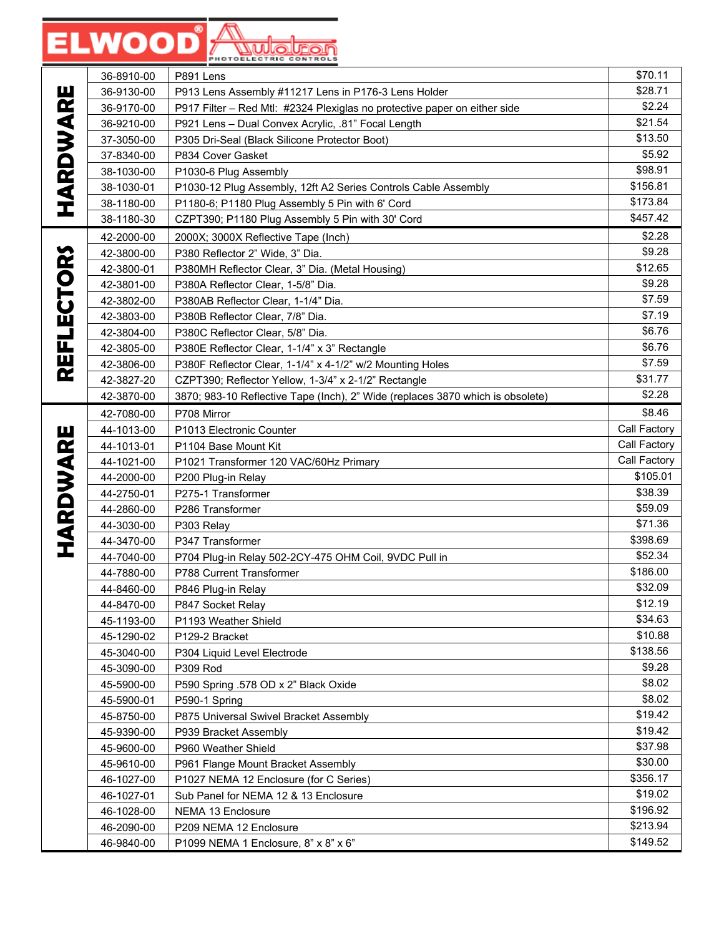### **ELWOOD** Audelren

|                   | 36-8910-00               | P891 Lens                                                                      | \$70.11             |
|-------------------|--------------------------|--------------------------------------------------------------------------------|---------------------|
|                   | 36-9130-00               | P913 Lens Assembly #11217 Lens in P176-3 Lens Holder                           | \$28.71             |
|                   | 36-9170-00               | P917 Filter - Red Mtl: #2324 Plexiglas no protective paper on either side      | \$2.24              |
| <b>HARDWARE</b>   | 36-9210-00               | P921 Lens - Dual Convex Acrylic, .81" Focal Length                             | \$21.54             |
|                   | 37-3050-00               | P305 Dri-Seal (Black Silicone Protector Boot)                                  | \$13.50             |
|                   | 37-8340-00               | P834 Cover Gasket                                                              | \$5.92              |
|                   | 38-1030-00               | P1030-6 Plug Assembly                                                          | \$98.91             |
|                   | 38-1030-01               | P1030-12 Plug Assembly, 12ft A2 Series Controls Cable Assembly                 | \$156.81            |
|                   | 38-1180-00               | P1180-6; P1180 Plug Assembly 5 Pin with 6' Cord                                | \$173.84            |
|                   | 38-1180-30               | CZPT390; P1180 Plug Assembly 5 Pin with 30' Cord                               | \$457.42            |
|                   | 42-2000-00               | 2000X; 3000X Reflective Tape (Inch)                                            | \$2.28              |
|                   | 42-3800-00               | P380 Reflector 2" Wide, 3" Dia.                                                | \$9.28              |
|                   | 42-3800-01               | P380MH Reflector Clear, 3" Dia. (Metal Housing)                                | \$12.65             |
|                   | 42-3801-00               | P380A Reflector Clear, 1-5/8" Dia.                                             | \$9.28              |
|                   | 42-3802-00               | P380AB Reflector Clear, 1-1/4" Dia.                                            | \$7.59              |
|                   | 42-3803-00               | P380B Reflector Clear, 7/8" Dia.                                               | \$7.19              |
|                   | 42-3804-00               | P380C Reflector Clear, 5/8" Dia.                                               | \$6.76              |
| <b>REFLECTORS</b> | 42-3805-00               | P380E Reflector Clear, 1-1/4" x 3" Rectangle                                   | \$6.76              |
|                   | 42-3806-00               | P380F Reflector Clear, 1-1/4" x 4-1/2" w/2 Mounting Holes                      | \$7.59              |
|                   | 42-3827-20               | CZPT390; Reflector Yellow, 1-3/4" x 2-1/2" Rectangle                           | \$31.77             |
|                   | 42-3870-00               | 3870; 983-10 Reflective Tape (Inch), 2" Wide (replaces 3870 which is obsolete) | \$2.28              |
|                   | 42-7080-00               | P708 Mirror                                                                    | \$8.46              |
|                   | 44-1013-00               | P1013 Electronic Counter                                                       | Call Factory        |
|                   | 44-1013-01               | P1104 Base Mount Kit                                                           | Call Factory        |
|                   | 44-1021-00               | P1021 Transformer 120 VAC/60Hz Primary                                         | Call Factory        |
| <b>HARDWARE</b>   | 44-2000-00               | P200 Plug-in Relay                                                             | \$105.01<br>\$38.39 |
|                   | 44-2750-01               | P275-1 Transformer                                                             | \$59.09             |
|                   | 44-2860-00               | P286 Transformer                                                               | \$71.36             |
|                   | 44-3030-00<br>44-3470-00 | P303 Relay<br>P347 Transformer                                                 | \$398.69            |
|                   | 44-7040-00               | P704 Plug-in Relay 502-2CY-475 OHM Coil, 9VDC Pull in                          | \$52.34             |
|                   | 44-7880-00               | P788 Current Transformer                                                       | \$186.00            |
|                   | 44-8460-00               | P846 Plug-in Relay                                                             | \$32.09             |
|                   | 44-8470-00               | P847 Socket Relay                                                              | \$12.19             |
|                   | 45-1193-00               | P1193 Weather Shield                                                           | \$34.63             |
|                   | 45-1290-02               | P129-2 Bracket                                                                 | \$10.88             |
|                   | 45-3040-00               | P304 Liquid Level Electrode                                                    | \$138.56            |
|                   | 45-3090-00               | P309 Rod                                                                       | \$9.28              |
|                   | 45-5900-00               | P590 Spring .578 OD x 2" Black Oxide                                           | \$8.02              |
|                   | 45-5900-01               | P590-1 Spring                                                                  | \$8.02              |
|                   | 45-8750-00               | P875 Universal Swivel Bracket Assembly                                         | \$19.42             |
|                   | 45-9390-00               | P939 Bracket Assembly                                                          | \$19.42             |
|                   | 45-9600-00               | P960 Weather Shield                                                            | \$37.98             |
|                   | 45-9610-00               | P961 Flange Mount Bracket Assembly                                             | \$30.00             |
|                   | 46-1027-00               | P1027 NEMA 12 Enclosure (for C Series)                                         | \$356.17            |
|                   | 46-1027-01               | Sub Panel for NEMA 12 & 13 Enclosure                                           | \$19.02             |
|                   | 46-1028-00               | NEMA 13 Enclosure                                                              | \$196.92            |
|                   | 46-2090-00               | P209 NEMA 12 Enclosure                                                         | \$213.94            |
|                   | 46-9840-00               | P1099 NEMA 1 Enclosure, 8" x 8" x 6"                                           | \$149.52            |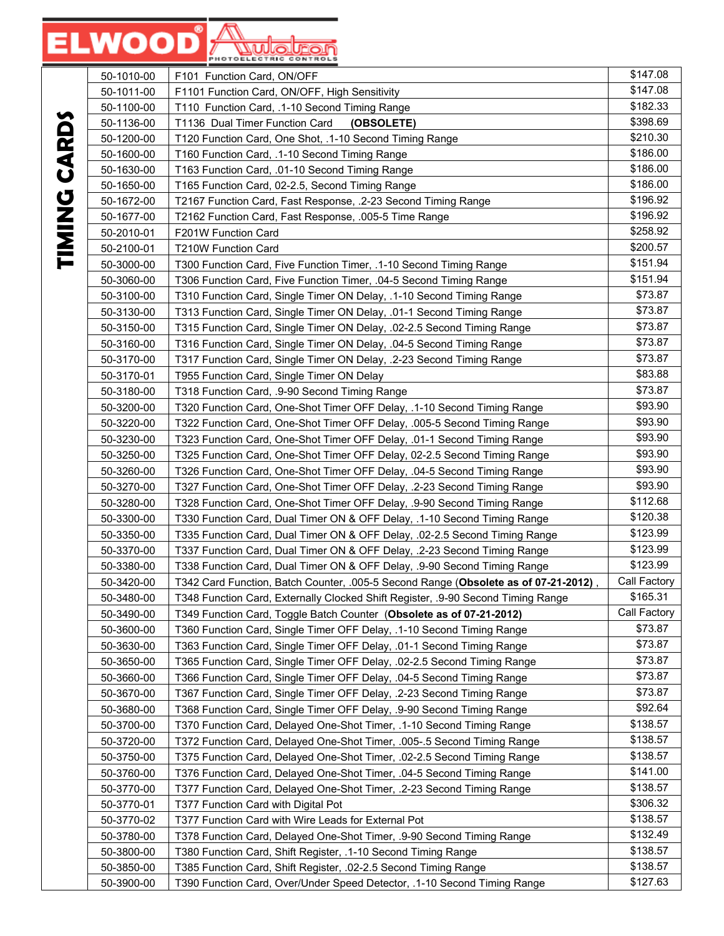|                          | 50-1010-00 | F101 Function Card, ON/OFF                                                          | \$147.08     |
|--------------------------|------------|-------------------------------------------------------------------------------------|--------------|
|                          | 50-1011-00 | F1101 Function Card, ON/OFF, High Sensitivity                                       | \$147.08     |
|                          | 50-1100-00 | T110 Function Card, .1-10 Second Timing Range                                       | \$182.33     |
|                          | 50-1136-00 | T1136 Dual Timer Function Card<br>(OBSOLETE)                                        | \$398.69     |
|                          | 50-1200-00 | T120 Function Card, One Shot, .1-10 Second Timing Range                             | \$210.30     |
| E<br>S                   | 50-1600-00 | T160 Function Card, .1-10 Second Timing Range                                       | \$186.00     |
|                          | 50-1630-00 | T163 Function Card, .01-10 Second Timing Range                                      | \$186.00     |
|                          | 50-1650-00 | T165 Function Card, 02-2.5, Second Timing Range                                     | \$186.00     |
| $\overline{\phantom{a}}$ | 50-1672-00 | T2167 Function Card, Fast Response, .2-23 Second Timing Range                       | \$196.92     |
|                          | 50-1677-00 | T2162 Function Card, Fast Response, .005-5 Time Range                               | \$196.92     |
| WHEN I                   | 50-2010-01 | F201W Function Card                                                                 | \$258.92     |
|                          | 50-2100-01 | T210W Function Card                                                                 | \$200.57     |
|                          | 50-3000-00 | T300 Function Card, Five Function Timer, .1-10 Second Timing Range                  | \$151.94     |
|                          | 50-3060-00 | T306 Function Card, Five Function Timer, .04-5 Second Timing Range                  | \$151.94     |
|                          | 50-3100-00 | T310 Function Card, Single Timer ON Delay, .1-10 Second Timing Range                | \$73.87      |
|                          | 50-3130-00 | T313 Function Card, Single Timer ON Delay, .01-1 Second Timing Range                | \$73.87      |
|                          | 50-3150-00 | T315 Function Card, Single Timer ON Delay, .02-2.5 Second Timing Range              | \$73.87      |
|                          | 50-3160-00 | T316 Function Card, Single Timer ON Delay, .04-5 Second Timing Range                | \$73.87      |
|                          | 50-3170-00 | T317 Function Card, Single Timer ON Delay, .2-23 Second Timing Range                | \$73.87      |
|                          | 50-3170-01 | T955 Function Card, Single Timer ON Delay                                           | \$83.88      |
|                          | 50-3180-00 | T318 Function Card, .9-90 Second Timing Range                                       | \$73.87      |
|                          | 50-3200-00 | T320 Function Card, One-Shot Timer OFF Delay, .1-10 Second Timing Range             | \$93.90      |
|                          | 50-3220-00 | T322 Function Card, One-Shot Timer OFF Delay, .005-5 Second Timing Range            | \$93.90      |
|                          | 50-3230-00 | T323 Function Card, One-Shot Timer OFF Delay, .01-1 Second Timing Range             | \$93.90      |
|                          | 50-3250-00 | T325 Function Card, One-Shot Timer OFF Delay, 02-2.5 Second Timing Range            | \$93.90      |
|                          | 50-3260-00 | T326 Function Card, One-Shot Timer OFF Delay, .04-5 Second Timing Range             | \$93.90      |
|                          | 50-3270-00 | T327 Function Card, One-Shot Timer OFF Delay, .2-23 Second Timing Range             | \$93.90      |
|                          | 50-3280-00 | T328 Function Card, One-Shot Timer OFF Delay, .9-90 Second Timing Range             | \$112.68     |
|                          | 50-3300-00 | T330 Function Card, Dual Timer ON & OFF Delay, .1-10 Second Timing Range            | \$120.38     |
|                          | 50-3350-00 | T335 Function Card, Dual Timer ON & OFF Delay, .02-2.5 Second Timing Range          | \$123.99     |
|                          | 50-3370-00 | T337 Function Card, Dual Timer ON & OFF Delay, .2-23 Second Timing Range            | \$123.99     |
|                          | 50-3380-00 | T338 Function Card, Dual Timer ON & OFF Delay, .9-90 Second Timing Range            | \$123.99     |
|                          | 50-3420-00 | T342 Card Function, Batch Counter, .005-5 Second Range (Obsolete as of 07-21-2012), | Call Factory |
|                          | 50-3480-00 | T348 Function Card, Externally Clocked Shift Register, .9-90 Second Timing Range    | \$165.31     |
|                          | 50-3490-00 | T349 Function Card, Toggle Batch Counter (Obsolete as of 07-21-2012)                | Call Factory |
|                          | 50-3600-00 | T360 Function Card, Single Timer OFF Delay, .1-10 Second Timing Range               | \$73.87      |
|                          | 50-3630-00 | T363 Function Card, Single Timer OFF Delay, .01-1 Second Timing Range               | \$73.87      |
|                          | 50-3650-00 | T365 Function Card, Single Timer OFF Delay, .02-2.5 Second Timing Range             | \$73.87      |
|                          | 50-3660-00 | T366 Function Card, Single Timer OFF Delay, .04-5 Second Timing Range               | \$73.87      |
|                          | 50-3670-00 | T367 Function Card, Single Timer OFF Delay, .2-23 Second Timing Range               | \$73.87      |
|                          | 50-3680-00 | T368 Function Card, Single Timer OFF Delay, .9-90 Second Timing Range               | \$92.64      |
|                          | 50-3700-00 | T370 Function Card, Delayed One-Shot Timer, .1-10 Second Timing Range               | \$138.57     |
|                          | 50-3720-00 | T372 Function Card, Delayed One-Shot Timer, .005-.5 Second Timing Range             | \$138.57     |
|                          | 50-3750-00 | T375 Function Card, Delayed One-Shot Timer, .02-2.5 Second Timing Range             | \$138.57     |
|                          | 50-3760-00 | T376 Function Card, Delayed One-Shot Timer, .04-5 Second Timing Range               | \$141.00     |
|                          | 50-3770-00 | T377 Function Card, Delayed One-Shot Timer, .2-23 Second Timing Range               | \$138.57     |
|                          | 50-3770-01 | T377 Function Card with Digital Pot                                                 | \$306.32     |
|                          | 50-3770-02 | T377 Function Card with Wire Leads for External Pot                                 | \$138.57     |
|                          | 50-3780-00 | T378 Function Card, Delayed One-Shot Timer, .9-90 Second Timing Range               | \$132.49     |
|                          | 50-3800-00 | T380 Function Card, Shift Register, .1-10 Second Timing Range                       | \$138.57     |
|                          | 50-3850-00 | T385 Function Card, Shift Register, .02-2.5 Second Timing Range                     | \$138.57     |
|                          | 50-3900-00 | T390 Function Card, Over/Under Speed Detector, .1-10 Second Timing Range            | \$127.63     |

TIMING CARDS **TIMING CARDS**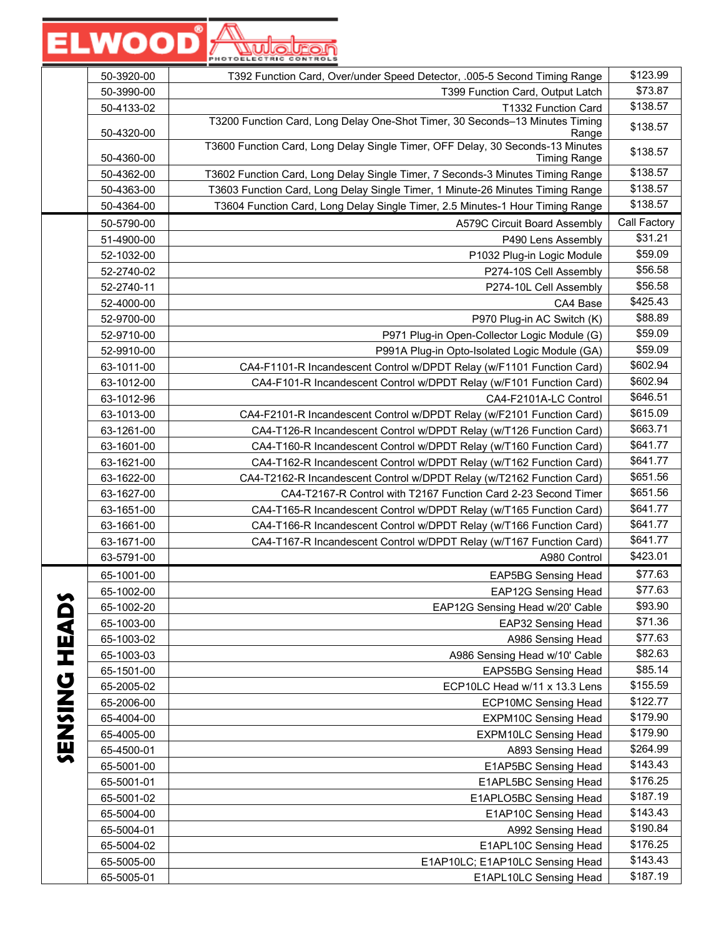|                     | 50-3920-00               | T392 Function Card, Over/under Speed Detector, .005-5 Second Timing Range                             | \$123.99           |
|---------------------|--------------------------|-------------------------------------------------------------------------------------------------------|--------------------|
|                     | 50-3990-00               | T399 Function Card, Output Latch                                                                      | \$73.87            |
|                     | 50-4133-02               | T1332 Function Card                                                                                   | \$138.57           |
|                     | 50-4320-00               | T3200 Function Card, Long Delay One-Shot Timer, 30 Seconds-13 Minutes Timing<br>Range                 | \$138.57           |
|                     | 50-4360-00               | T3600 Function Card, Long Delay Single Timer, OFF Delay, 30 Seconds-13 Minutes<br><b>Timing Range</b> | \$138.57           |
|                     | 50-4362-00               | T3602 Function Card, Long Delay Single Timer, 7 Seconds-3 Minutes Timing Range                        | \$138.57           |
|                     | 50-4363-00               | T3603 Function Card, Long Delay Single Timer, 1 Minute-26 Minutes Timing Range                        | \$138.57           |
|                     | 50-4364-00               | T3604 Function Card, Long Delay Single Timer, 2.5 Minutes-1 Hour Timing Range                         | \$138.57           |
|                     | 50-5790-00               | A579C Circuit Board Assembly                                                                          | Call Factory       |
|                     | 51-4900-00               | P490 Lens Assembly                                                                                    | \$31.21            |
|                     | 52-1032-00               | P1032 Plug-in Logic Module                                                                            | \$59.09            |
|                     | 52-2740-02               | P274-10S Cell Assembly                                                                                | \$56.58            |
|                     | 52-2740-11               | P274-10L Cell Assembly                                                                                | \$56.58            |
|                     | 52-4000-00               | CA4 Base                                                                                              | \$425.43           |
|                     | 52-9700-00               | P970 Plug-in AC Switch (K)                                                                            | \$88.89            |
|                     | 52-9710-00               | P971 Plug-in Open-Collector Logic Module (G)                                                          | \$59.09            |
|                     | 52-9910-00               | P991A Plug-in Opto-Isolated Logic Module (GA)                                                         | \$59.09            |
|                     | 63-1011-00               | CA4-F1101-R Incandescent Control w/DPDT Relay (w/F1101 Function Card)                                 | \$602.94           |
|                     | 63-1012-00               | CA4-F101-R Incandescent Control w/DPDT Relay (w/F101 Function Card)                                   | \$602.94           |
|                     | 63-1012-96               | CA4-F2101A-LC Control                                                                                 | \$646.51           |
|                     | 63-1013-00               | CA4-F2101-R Incandescent Control w/DPDT Relay (w/F2101 Function Card)                                 | \$615.09           |
|                     | 63-1261-00               | CA4-T126-R Incandescent Control w/DPDT Relay (w/T126 Function Card)                                   | \$663.71           |
|                     | 63-1601-00               | CA4-T160-R Incandescent Control w/DPDT Relay (w/T160 Function Card)                                   | \$641.77           |
|                     | 63-1621-00               | CA4-T162-R Incandescent Control w/DPDT Relay (w/T162 Function Card)                                   | \$641.77           |
|                     | 63-1622-00               | CA4-T2162-R Incandescent Control w/DPDT Relay (w/T2162 Function Card)                                 | \$651.56           |
|                     | 63-1627-00               | CA4-T2167-R Control with T2167 Function Card 2-23 Second Timer                                        | \$651.56           |
|                     | 63-1651-00               | CA4-T165-R Incandescent Control w/DPDT Relay (w/T165 Function Card)                                   | \$641.77           |
|                     | 63-1661-00               | CA4-T166-R Incandescent Control w/DPDT Relay (w/T166 Function Card)                                   | \$641.77           |
|                     | 63-1671-00               | CA4-T167-R Incandescent Control w/DPDT Relay (w/T167 Function Card)                                   | \$641.77           |
|                     | 63-5791-00               | A980 Control                                                                                          | \$423.01           |
|                     | 65-1001-00               | <b>EAP5BG Sensing Head</b>                                                                            | \$77.63            |
|                     | 65-1002-00               | <b>EAP12G Sensing Head</b>                                                                            | \$77.63            |
|                     | 65-1002-20               | EAP12G Sensing Head w/20' Cable                                                                       | \$93.90            |
|                     | 65-1003-00               | EAP32 Sensing Head                                                                                    | \$71.36            |
|                     | 65-1003-02               | A986 Sensing Head                                                                                     | \$77.63<br>\$82.63 |
|                     | 65-1003-03               | A986 Sensing Head w/10' Cable                                                                         | \$85.14            |
| <b>QVIH UNISNAD</b> | 65-1501-00               | <b>EAPS5BG Sensing Head</b><br>ECP10LC Head w/11 x 13.3 Lens                                          | \$155.59           |
|                     | 65-2005-02<br>65-2006-00 | <b>ECP10MC Sensing Head</b>                                                                           | \$122.77           |
|                     | 65-4004-00               | <b>EXPM10C Sensing Head</b>                                                                           | \$179.90           |
|                     | 65-4005-00               | <b>EXPM10LC Sensing Head</b>                                                                          | \$179.90           |
|                     | 65-4500-01               | A893 Sensing Head                                                                                     | \$264.99           |
|                     | 65-5001-00               | E1AP5BC Sensing Head                                                                                  | \$143.43           |
|                     | 65-5001-01               | E1APL5BC Sensing Head                                                                                 | \$176.25           |
|                     | 65-5001-02               | E1APLO5BC Sensing Head                                                                                | \$187.19           |
|                     | 65-5004-00               | E1AP10C Sensing Head                                                                                  | \$143.43           |
|                     | 65-5004-01               | A992 Sensing Head                                                                                     | \$190.84           |
|                     | 65-5004-02               | E1APL10C Sensing Head                                                                                 | \$176.25           |
|                     | 65-5005-00               | E1AP10LC; E1AP10LC Sensing Head                                                                       | \$143.43           |
|                     | 65-5005-01               | E1APL10LC Sensing Head                                                                                | \$187.19           |
|                     |                          |                                                                                                       |                    |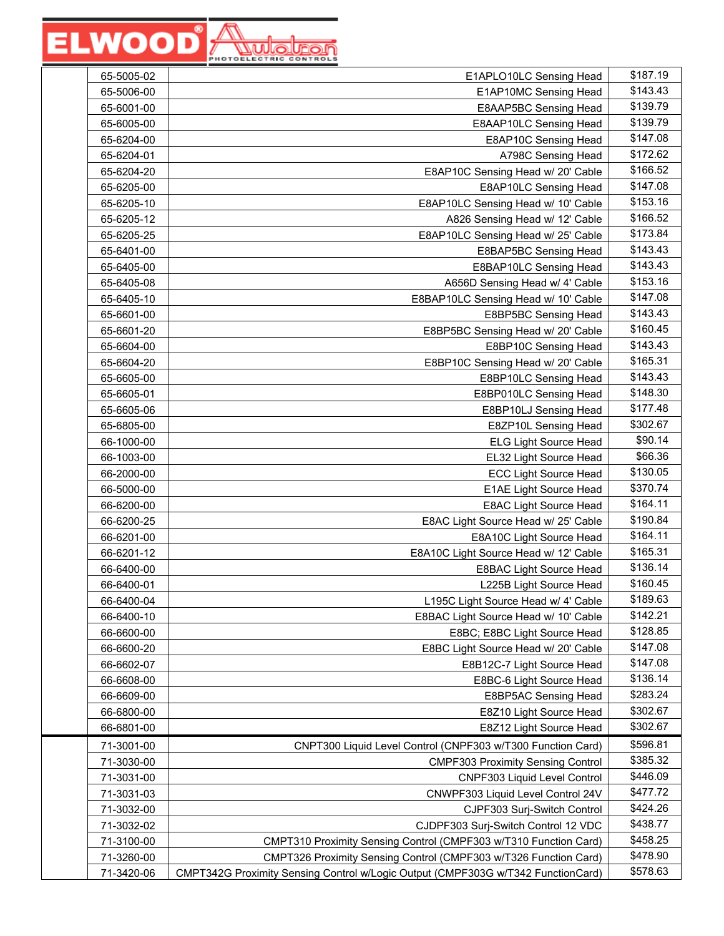| 65-5005-02 | E1APLO10LC Sensing Head                                                          | \$187.19 |
|------------|----------------------------------------------------------------------------------|----------|
| 65-5006-00 | E1AP10MC Sensing Head                                                            | \$143.43 |
| 65-6001-00 | E8AAP5BC Sensing Head                                                            | \$139.79 |
| 65-6005-00 | E8AAP10LC Sensing Head                                                           | \$139.79 |
| 65-6204-00 | E8AP10C Sensing Head                                                             | \$147.08 |
| 65-6204-01 | A798C Sensing Head                                                               | \$172.62 |
| 65-6204-20 | E8AP10C Sensing Head w/ 20' Cable                                                | \$166.52 |
| 65-6205-00 | E8AP10LC Sensing Head                                                            | \$147.08 |
| 65-6205-10 | E8AP10LC Sensing Head w/ 10' Cable                                               | \$153.16 |
| 65-6205-12 | A826 Sensing Head w/ 12' Cable                                                   | \$166.52 |
| 65-6205-25 | E8AP10LC Sensing Head w/ 25' Cable                                               | \$173.84 |
| 65-6401-00 | E8BAP5BC Sensing Head                                                            | \$143.43 |
| 65-6405-00 | E8BAP10LC Sensing Head                                                           | \$143.43 |
| 65-6405-08 | A656D Sensing Head w/ 4' Cable                                                   | \$153.16 |
| 65-6405-10 | E8BAP10LC Sensing Head w/ 10' Cable                                              | \$147.08 |
| 65-6601-00 | E8BP5BC Sensing Head                                                             | \$143.43 |
| 65-6601-20 | E8BP5BC Sensing Head w/ 20' Cable                                                | \$160.45 |
| 65-6604-00 | E8BP10C Sensing Head                                                             | \$143.43 |
| 65-6604-20 | E8BP10C Sensing Head w/ 20' Cable                                                | \$165.31 |
| 65-6605-00 | E8BP10LC Sensing Head                                                            | \$143.43 |
| 65-6605-01 | E8BP010LC Sensing Head                                                           | \$148.30 |
| 65-6605-06 | E8BP10LJ Sensing Head                                                            | \$177.48 |
| 65-6805-00 | E8ZP10L Sensing Head                                                             | \$302.67 |
| 66-1000-00 | <b>ELG Light Source Head</b>                                                     | \$90.14  |
| 66-1003-00 | EL32 Light Source Head                                                           | \$66.36  |
| 66-2000-00 | <b>ECC Light Source Head</b>                                                     | \$130.05 |
| 66-5000-00 | E1AE Light Source Head                                                           | \$370.74 |
| 66-6200-00 | E8AC Light Source Head                                                           | \$164.11 |
| 66-6200-25 | E8AC Light Source Head w/ 25' Cable                                              | \$190.84 |
| 66-6201-00 | E8A10C Light Source Head                                                         | \$164.11 |
| 66-6201-12 | E8A10C Light Source Head w/ 12' Cable                                            | \$165.31 |
| 66-6400-00 | E8BAC Light Source Head                                                          | \$136.14 |
| 66-6400-01 | L225B Light Source Head                                                          | \$160.45 |
| 66-6400-04 | L195C Light Source Head w/ 4' Cable                                              | \$189.63 |
| 66-6400-10 | E8BAC Light Source Head w/ 10' Cable                                             | \$142.21 |
| 66-6600-00 | E8BC; E8BC Light Source Head                                                     | \$128.85 |
| 66-6600-20 | E8BC Light Source Head w/ 20' Cable                                              | \$147.08 |
| 66-6602-07 | E8B12C-7 Light Source Head                                                       | \$147.08 |
| 66-6608-00 | E8BC-6 Light Source Head                                                         | \$136.14 |
| 66-6609-00 | E8BP5AC Sensing Head                                                             | \$283.24 |
| 66-6800-00 | E8Z10 Light Source Head                                                          | \$302.67 |
| 66-6801-00 | E8Z12 Light Source Head                                                          | \$302.67 |
| 71-3001-00 | CNPT300 Liquid Level Control (CNPF303 w/T300 Function Card)                      | \$596.81 |
| 71-3030-00 | <b>CMPF303 Proximity Sensing Control</b>                                         | \$385.32 |
| 71-3031-00 | CNPF303 Liquid Level Control                                                     | \$446.09 |
| 71-3031-03 | CNWPF303 Liquid Level Control 24V                                                | \$477.72 |
| 71-3032-00 | CJPF303 Surj-Switch Control                                                      | \$424.26 |
| 71-3032-02 | CJDPF303 Surj-Switch Control 12 VDC                                              | \$438.77 |
| 71-3100-00 | CMPT310 Proximity Sensing Control (CMPF303 w/T310 Function Card)                 | \$458.25 |
| 71-3260-00 | CMPT326 Proximity Sensing Control (CMPF303 w/T326 Function Card)                 | \$478.90 |
| 71-3420-06 | CMPT342G Proximity Sensing Control w/Logic Output (CMPF303G w/T342 FunctionCard) | \$578.63 |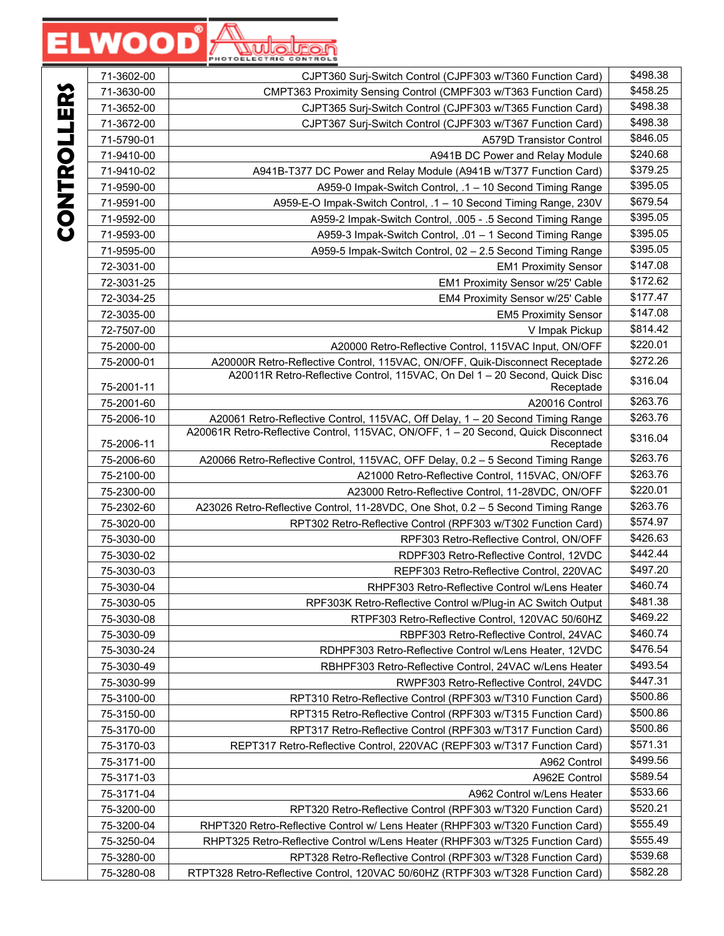|          | 71-3602-00 | CJPT360 Surj-Switch Control (CJPF303 w/T360 Function Card)                                     | \$498.38 |
|----------|------------|------------------------------------------------------------------------------------------------|----------|
|          | 71-3630-00 | CMPT363 Proximity Sensing Control (CMPF303 w/T363 Function Card)                               | \$458.25 |
|          | 71-3652-00 | CJPT365 Surj-Switch Control (CJPF303 w/T365 Function Card)                                     | \$498.38 |
|          | 71-3672-00 | CJPT367 Surj-Switch Control (CJPF303 w/T367 Function Card)                                     | \$498.38 |
|          | 71-5790-01 | <b>A579D Transistor Control</b>                                                                | \$846.05 |
|          | 71-9410-00 | A941B DC Power and Relay Module                                                                | \$240.68 |
|          | 71-9410-02 | A941B-T377 DC Power and Relay Module (A941B w/T377 Function Card)                              | \$379.25 |
|          | 71-9590-00 | A959-0 Impak-Switch Control, .1 - 10 Second Timing Range                                       | \$395.05 |
| CHINNERS | 71-9591-00 | A959-E-O Impak-Switch Control, .1 - 10 Second Timing Range, 230V                               | \$679.54 |
|          | 71-9592-00 | A959-2 Impak-Switch Control, .005 - .5 Second Timing Range                                     | \$395.05 |
|          | 71-9593-00 | A959-3 Impak-Switch Control, .01 - 1 Second Timing Range                                       | \$395.05 |
|          | 71-9595-00 | A959-5 Impak-Switch Control, 02 - 2.5 Second Timing Range                                      | \$395.05 |
|          | 72-3031-00 | <b>EM1 Proximity Sensor</b>                                                                    | \$147.08 |
|          | 72-3031-25 | EM1 Proximity Sensor w/25' Cable                                                               | \$172.62 |
|          | 72-3034-25 | EM4 Proximity Sensor w/25' Cable                                                               | \$177.47 |
|          | 72-3035-00 | <b>EM5 Proximity Sensor</b>                                                                    | \$147.08 |
|          | 72-7507-00 | V Impak Pickup                                                                                 | \$814.42 |
|          | 75-2000-00 | A20000 Retro-Reflective Control, 115VAC Input, ON/OFF                                          | \$220.01 |
|          | 75-2000-01 | A20000R Retro-Reflective Control, 115VAC, ON/OFF, Quik-Disconnect Receptade                    | \$272.26 |
|          | 75-2001-11 | A20011R Retro-Reflective Control, 115VAC, On Del 1 - 20 Second, Quick Disc<br>Receptade        | \$316.04 |
|          | 75-2001-60 | A20016 Control                                                                                 | \$263.76 |
|          | 75-2006-10 | A20061 Retro-Reflective Control, 115VAC, Off Delay, 1 - 20 Second Timing Range                 | \$263.76 |
|          | 75-2006-11 | A20061R Retro-Reflective Control, 115VAC, ON/OFF, 1 - 20 Second, Quick Disconnect<br>Receptade | \$316.04 |
|          | 75-2006-60 | A20066 Retro-Reflective Control, 115VAC, OFF Delay, 0.2 - 5 Second Timing Range                | \$263.76 |
|          | 75-2100-00 | A21000 Retro-Reflective Control, 115VAC, ON/OFF                                                | \$263.76 |
|          | 75-2300-00 | A23000 Retro-Reflective Control, 11-28VDC, ON/OFF                                              | \$220.01 |
|          | 75-2302-60 | A23026 Retro-Reflective Control, 11-28VDC, One Shot, 0.2 - 5 Second Timing Range               | \$263.76 |
|          | 75-3020-00 | RPT302 Retro-Reflective Control (RPF303 w/T302 Function Card)                                  | \$574.97 |
|          | 75-3030-00 | RPF303 Retro-Reflective Control, ON/OFF                                                        | \$426.63 |
|          | 75-3030-02 | RDPF303 Retro-Reflective Control, 12VDC                                                        | \$442.44 |
|          | 75-3030-03 | REPF303 Retro-Reflective Control, 220VAC                                                       | \$497.20 |
|          | 75-3030-04 | RHPF303 Retro-Reflective Control w/Lens Heater                                                 | \$460.74 |
|          | 75-3030-05 | RPF303K Retro-Reflective Control w/Plug-in AC Switch Output                                    | \$481.38 |
|          | 75-3030-08 | RTPF303 Retro-Reflective Control, 120VAC 50/60HZ                                               | \$469.22 |
|          | 75-3030-09 | RBPF303 Retro-Reflective Control, 24VAC                                                        | \$460.74 |
|          | 75-3030-24 | RDHPF303 Retro-Reflective Control w/Lens Heater, 12VDC                                         | \$476.54 |
|          | 75-3030-49 | RBHPF303 Retro-Reflective Control, 24VAC w/Lens Heater                                         | \$493.54 |
|          | 75-3030-99 | RWPF303 Retro-Reflective Control, 24VDC                                                        | \$447.31 |
|          | 75-3100-00 | RPT310 Retro-Reflective Control (RPF303 w/T310 Function Card)                                  | \$500.86 |
|          | 75-3150-00 | RPT315 Retro-Reflective Control (RPF303 w/T315 Function Card)                                  | \$500.86 |
|          | 75-3170-00 | RPT317 Retro-Reflective Control (RPF303 w/T317 Function Card)                                  | \$500.86 |
|          | 75-3170-03 | REPT317 Retro-Reflective Control, 220VAC (REPF303 w/T317 Function Card)                        | \$571.31 |
|          | 75-3171-00 | A962 Control                                                                                   | \$499.56 |
|          | 75-3171-03 | A962E Control                                                                                  | \$589.54 |
|          | 75-3171-04 | A962 Control w/Lens Heater                                                                     | \$533.66 |
|          | 75-3200-00 | RPT320 Retro-Reflective Control (RPF303 w/T320 Function Card)                                  | \$520.21 |
|          | 75-3200-04 | RHPT320 Retro-Reflective Control w/ Lens Heater (RHPF303 w/T320 Function Card)                 | \$555.49 |
|          | 75-3250-04 | RHPT325 Retro-Reflective Control w/Lens Heater (RHPF303 w/T325 Function Card)                  | \$555.49 |
|          | 75-3280-00 | RPT328 Retro-Reflective Control (RPF303 w/T328 Function Card)                                  | \$539.68 |
|          | 75-3280-08 | RTPT328 Retro-Reflective Control, 120VAC 50/60HZ (RTPF303 w/T328 Function Card)                | \$582.28 |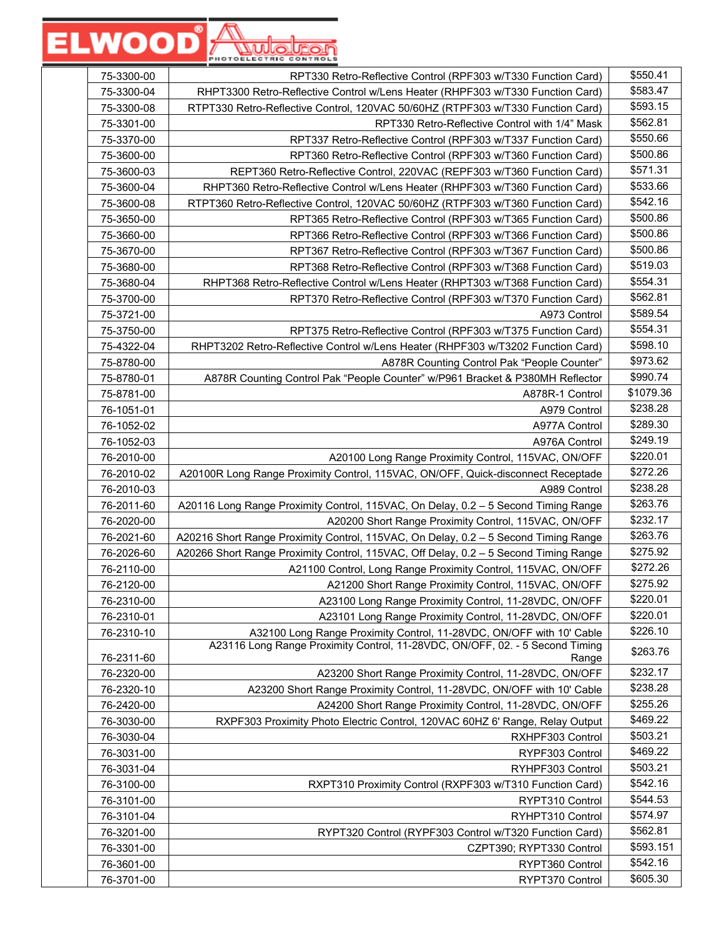| 75-3300-00 | RPT330 Retro-Reflective Control (RPF303 w/T330 Function Card)                                                                                        | \$550.41  |
|------------|------------------------------------------------------------------------------------------------------------------------------------------------------|-----------|
| 75-3300-04 | RHPT3300 Retro-Reflective Control w/Lens Heater (RHPF303 w/T330 Function Card)                                                                       | \$583.47  |
| 75-3300-08 | RTPT330 Retro-Reflective Control, 120VAC 50/60HZ (RTPF303 w/T330 Function Card)                                                                      | \$593.15  |
| 75-3301-00 | RPT330 Retro-Reflective Control with 1/4" Mask                                                                                                       | \$562.81  |
| 75-3370-00 | RPT337 Retro-Reflective Control (RPF303 w/T337 Function Card)                                                                                        | \$550.66  |
| 75-3600-00 | RPT360 Retro-Reflective Control (RPF303 w/T360 Function Card)                                                                                        | \$500.86  |
| 75-3600-03 | REPT360 Retro-Reflective Control, 220VAC (REPF303 w/T360 Function Card)                                                                              | \$571.31  |
| 75-3600-04 | RHPT360 Retro-Reflective Control w/Lens Heater (RHPF303 w/T360 Function Card)                                                                        | \$533.66  |
| 75-3600-08 | RTPT360 Retro-Reflective Control, 120VAC 50/60HZ (RTPF303 w/T360 Function Card)                                                                      | \$542.16  |
| 75-3650-00 | RPT365 Retro-Reflective Control (RPF303 w/T365 Function Card)                                                                                        | \$500.86  |
| 75-3660-00 | RPT366 Retro-Reflective Control (RPF303 w/T366 Function Card)                                                                                        | \$500.86  |
| 75-3670-00 | RPT367 Retro-Reflective Control (RPF303 w/T367 Function Card)                                                                                        | \$500.86  |
| 75-3680-00 | RPT368 Retro-Reflective Control (RPF303 w/T368 Function Card)                                                                                        | \$519.03  |
| 75-3680-04 | RHPT368 Retro-Reflective Control w/Lens Heater (RHPT303 w/T368 Function Card)                                                                        | \$554.31  |
| 75-3700-00 | RPT370 Retro-Reflective Control (RPF303 w/T370 Function Card)                                                                                        | \$562.81  |
| 75-3721-00 | A973 Control                                                                                                                                         | \$589.54  |
| 75-3750-00 | RPT375 Retro-Reflective Control (RPF303 w/T375 Function Card)                                                                                        | \$554.31  |
| 75-4322-04 | RHPT3202 Retro-Reflective Control w/Lens Heater (RHPF303 w/T3202 Function Card)                                                                      | \$598.10  |
| 75-8780-00 | A878R Counting Control Pak "People Counter"                                                                                                          | \$973.62  |
| 75-8780-01 | A878R Counting Control Pak "People Counter" w/P961 Bracket & P380MH Reflector                                                                        | \$990.74  |
| 75-8781-00 | A878R-1 Control                                                                                                                                      | \$1079.36 |
| 76-1051-01 | A979 Control                                                                                                                                         | \$238.28  |
| 76-1052-02 | A977A Control                                                                                                                                        | \$289.30  |
| 76-1052-03 | A976A Control                                                                                                                                        | \$249.19  |
| 76-2010-00 | A20100 Long Range Proximity Control, 115VAC, ON/OFF                                                                                                  | \$220.01  |
| 76-2010-02 | A20100R Long Range Proximity Control, 115VAC, ON/OFF, Quick-disconnect Receptade                                                                     | \$272.26  |
| 76-2010-03 | A989 Control                                                                                                                                         | \$238.28  |
| 76-2011-60 | A20116 Long Range Proximity Control, 115VAC, On Delay, 0.2 - 5 Second Timing Range                                                                   | \$263.76  |
| 76-2020-00 | A20200 Short Range Proximity Control, 115VAC, ON/OFF                                                                                                 | \$232.17  |
| 76-2021-60 | A20216 Short Range Proximity Control, 115VAC, On Delay, 0.2 - 5 Second Timing Range                                                                  | \$263.76  |
| 76-2026-60 | A20266 Short Range Proximity Control, 115VAC, Off Delay, 0.2 - 5 Second Timing Range                                                                 | \$275.92  |
| 76-2110-00 | A21100 Control, Long Range Proximity Control, 115VAC, ON/OFF                                                                                         | \$272.26  |
| 76-2120-00 | A21200 Short Range Proximity Control, 115VAC, ON/OFF                                                                                                 | \$275.92  |
| 76-2310-00 | A23100 Long Range Proximity Control, 11-28VDC, ON/OFF                                                                                                | \$220.01  |
| 76-2310-01 | A23101 Long Range Proximity Control, 11-28VDC, ON/OFF                                                                                                | \$220.01  |
| 76-2310-10 | A32100 Long Range Proximity Control, 11-28VDC, ON/OFF with 10' Cable<br>A23116 Long Range Proximity Control, 11-28VDC, ON/OFF, 02. - 5 Second Timing | \$226.10  |
| 76-2311-60 | Range                                                                                                                                                | \$263.76  |
| 76-2320-00 | A23200 Short Range Proximity Control, 11-28VDC, ON/OFF                                                                                               | \$232.17  |
| 76-2320-10 | A23200 Short Range Proximity Control, 11-28VDC, ON/OFF with 10' Cable                                                                                | \$238.28  |
| 76-2420-00 | A24200 Short Range Proximity Control, 11-28VDC, ON/OFF                                                                                               | \$255.26  |
| 76-3030-00 | RXPF303 Proximity Photo Electric Control, 120VAC 60HZ 6' Range, Relay Output                                                                         | \$469.22  |
| 76-3030-04 | RXHPF303 Control                                                                                                                                     | \$503.21  |
| 76-3031-00 | RYPF303 Control                                                                                                                                      | \$469.22  |
| 76-3031-04 | RYHPF303 Control                                                                                                                                     | \$503.21  |
| 76-3100-00 | RXPT310 Proximity Control (RXPF303 w/T310 Function Card)                                                                                             | \$542.16  |
| 76-3101-00 | RYPT310 Control                                                                                                                                      | \$544.53  |
| 76-3101-04 | RYHPT310 Control                                                                                                                                     | \$574.97  |
| 76-3201-00 | RYPT320 Control (RYPF303 Control w/T320 Function Card)                                                                                               | \$562.81  |
| 76-3301-00 | CZPT390; RYPT330 Control                                                                                                                             | \$593.151 |
| 76-3601-00 | RYPT360 Control                                                                                                                                      | \$542.16  |
| 76-3701-00 | RYPT370 Control                                                                                                                                      | \$605.30  |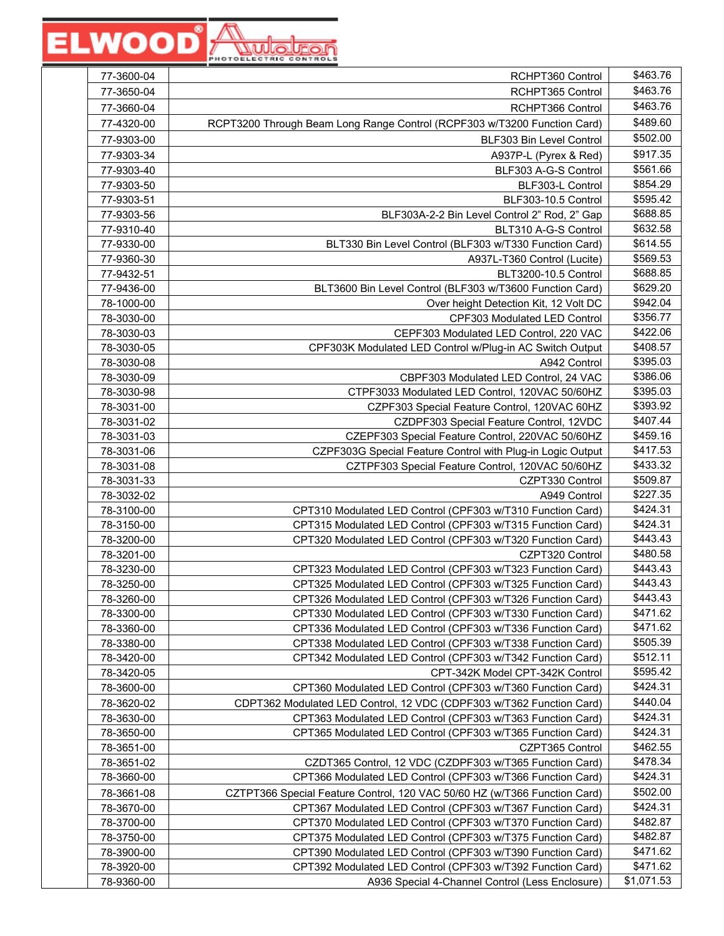| 77-3600-04 | RCHPT360 Control                                                          | \$463.76             |
|------------|---------------------------------------------------------------------------|----------------------|
| 77-3650-04 | RCHPT365 Control                                                          | \$463.76             |
| 77-3660-04 | RCHPT366 Control                                                          | \$463.76             |
| 77-4320-00 | RCPT3200 Through Beam Long Range Control (RCPF303 w/T3200 Function Card)  | \$489.60             |
| 77-9303-00 | BLF303 Bin Level Control                                                  | \$502.00             |
| 77-9303-34 | A937P-L (Pyrex & Red)                                                     | \$917.35             |
| 77-9303-40 | BLF303 A-G-S Control                                                      | \$561.66             |
| 77-9303-50 | BLF303-L Control                                                          | \$854.29             |
| 77-9303-51 | BLF303-10.5 Control                                                       | \$595.42             |
| 77-9303-56 | BLF303A-2-2 Bin Level Control 2" Rod, 2" Gap                              | \$688.85             |
| 77-9310-40 | BLT310 A-G-S Control                                                      | \$632.58             |
| 77-9330-00 | BLT330 Bin Level Control (BLF303 w/T330 Function Card)                    | \$614.55             |
| 77-9360-30 |                                                                           | \$569.53             |
|            | A937L-T360 Control (Lucite)                                               | \$688.85             |
| 77-9432-51 | BLT3200-10.5 Control                                                      | \$629.20             |
| 77-9436-00 | BLT3600 Bin Level Control (BLF303 w/T3600 Function Card)                  | \$942.04             |
| 78-1000-00 | Over height Detection Kit, 12 Volt DC                                     | \$356.77             |
| 78-3030-00 | CPF303 Modulated LED Control                                              | \$422.06             |
| 78-3030-03 | CEPF303 Modulated LED Control, 220 VAC                                    |                      |
| 78-3030-05 | CPF303K Modulated LED Control w/Plug-in AC Switch Output                  | \$408.57<br>\$395.03 |
| 78-3030-08 | A942 Control                                                              |                      |
| 78-3030-09 | CBPF303 Modulated LED Control, 24 VAC                                     | \$386.06             |
| 78-3030-98 | CTPF3033 Modulated LED Control, 120VAC 50/60HZ                            | \$395.03             |
| 78-3031-00 | CZPF303 Special Feature Control, 120VAC 60HZ                              | \$393.92             |
| 78-3031-02 | CZDPF303 Special Feature Control, 12VDC                                   | \$407.44             |
| 78-3031-03 | CZEPF303 Special Feature Control, 220VAC 50/60HZ                          | \$459.16             |
| 78-3031-06 | CZPF303G Special Feature Control with Plug-in Logic Output                | \$417.53             |
| 78-3031-08 | CZTPF303 Special Feature Control, 120VAC 50/60HZ                          | \$433.32             |
| 78-3031-33 | CZPT330 Control                                                           | \$509.87             |
| 78-3032-02 | A949 Control                                                              | \$227.35             |
| 78-3100-00 | CPT310 Modulated LED Control (CPF303 w/T310 Function Card)                | \$424.31             |
| 78-3150-00 | CPT315 Modulated LED Control (CPF303 w/T315 Function Card)                | \$424.31             |
| 78-3200-00 | CPT320 Modulated LED Control (CPF303 w/T320 Function Card)                | \$443.43             |
| 78-3201-00 | CZPT320 Control                                                           | \$480.58             |
| 78-3230-00 | CPT323 Modulated LED Control (CPF303 w/T323 Function Card)                | \$443.43             |
| 78-3250-00 | CPT325 Modulated LED Control (CPF303 w/T325 Function Card)                | \$443.43             |
| 78-3260-00 | CPT326 Modulated LED Control (CPF303 w/T326 Function Card)                | \$443.43             |
| 78-3300-00 | CPT330 Modulated LED Control (CPF303 w/T330 Function Card)                | \$471.62             |
| 78-3360-00 | CPT336 Modulated LED Control (CPF303 w/T336 Function Card)                | \$471.62             |
| 78-3380-00 | CPT338 Modulated LED Control (CPF303 w/T338 Function Card)                | \$505.39             |
| 78-3420-00 | CPT342 Modulated LED Control (CPF303 w/T342 Function Card)                | \$512.11             |
| 78-3420-05 | CPT-342K Model CPT-342K Control                                           | \$595.42             |
| 78-3600-00 | CPT360 Modulated LED Control (CPF303 w/T360 Function Card)                | \$424.31             |
| 78-3620-02 | CDPT362 Modulated LED Control, 12 VDC (CDPF303 w/T362 Function Card)      | \$440.04             |
| 78-3630-00 | CPT363 Modulated LED Control (CPF303 w/T363 Function Card)                | \$424.31             |
| 78-3650-00 | CPT365 Modulated LED Control (CPF303 w/T365 Function Card)                | \$424.31             |
| 78-3651-00 | CZPT365 Control                                                           | \$462.55             |
| 78-3651-02 | CZDT365 Control, 12 VDC (CZDPF303 w/T365 Function Card)                   | \$478.34             |
| 78-3660-00 | CPT366 Modulated LED Control (CPF303 w/T366 Function Card)                | \$424.31             |
| 78-3661-08 | CZTPT366 Special Feature Control, 120 VAC 50/60 HZ (w/T366 Function Card) | \$502.00             |
| 78-3670-00 | CPT367 Modulated LED Control (CPF303 w/T367 Function Card)                | \$424.31             |
| 78-3700-00 | CPT370 Modulated LED Control (CPF303 w/T370 Function Card)                | \$482.87             |
| 78-3750-00 | CPT375 Modulated LED Control (CPF303 w/T375 Function Card)                | \$482.87             |
| 78-3900-00 | CPT390 Modulated LED Control (CPF303 w/T390 Function Card)                | \$471.62             |
| 78-3920-00 | CPT392 Modulated LED Control (CPF303 w/T392 Function Card)                | \$471.62             |
| 78-9360-00 | A936 Special 4-Channel Control (Less Enclosure)                           | \$1,071.53           |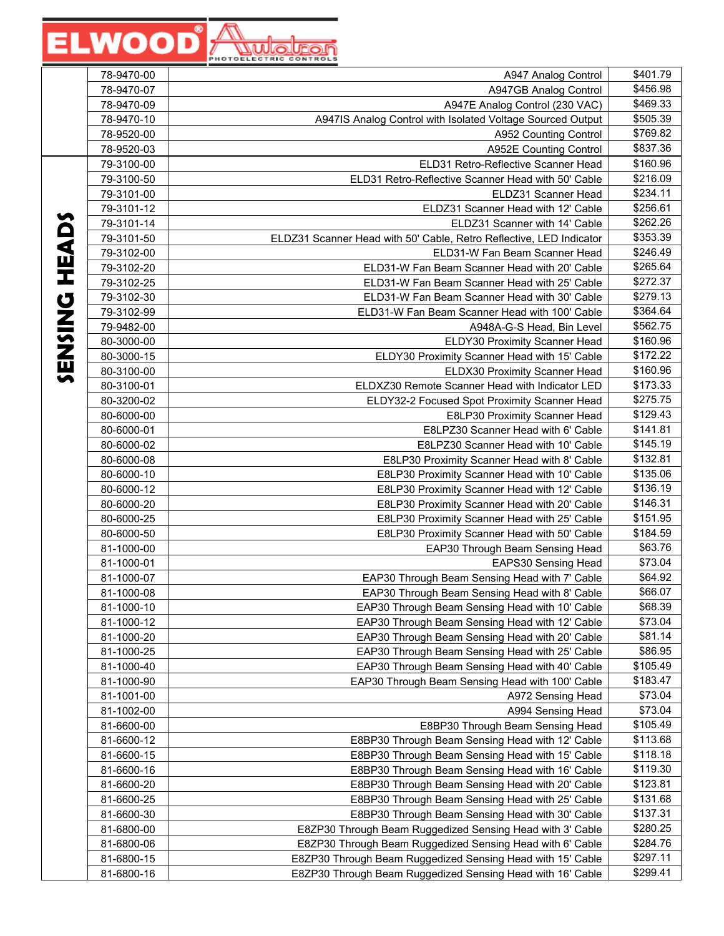|                | 78-9470-00 | A947 Analog Control                                                 | \$401.79 |
|----------------|------------|---------------------------------------------------------------------|----------|
|                | 78-9470-07 | A947GB Analog Control                                               | \$456.98 |
|                | 78-9470-09 | A947E Analog Control (230 VAC)                                      | \$469.33 |
|                | 78-9470-10 | A947IS Analog Control with Isolated Voltage Sourced Output          | \$505.39 |
|                | 78-9520-00 | A952 Counting Control                                               | \$769.82 |
|                | 78-9520-03 | <b>A952E Counting Control</b>                                       | \$837.36 |
|                | 79-3100-00 | ELD31 Retro-Reflective Scanner Head                                 | \$160.96 |
|                | 79-3100-50 | ELD31 Retro-Reflective Scanner Head with 50' Cable                  | \$216.09 |
|                | 79-3101-00 | ELDZ31 Scanner Head                                                 | \$234.11 |
|                | 79-3101-12 | ELDZ31 Scanner Head with 12' Cable                                  | \$256.61 |
|                | 79-3101-14 | ELDZ31 Scanner with 14' Cable                                       | \$262.26 |
|                | 79-3101-50 | ELDZ31 Scanner Head with 50' Cable, Retro Reflective, LED Indicator | \$353.39 |
| <b>HEADS</b>   | 79-3102-00 | ELD31-W Fan Beam Scanner Head                                       | \$246.49 |
|                | 79-3102-20 | ELD31-W Fan Beam Scanner Head with 20' Cable                        | \$265.64 |
|                | 79-3102-25 | ELD31-W Fan Beam Scanner Head with 25' Cable                        | \$272.37 |
|                | 79-3102-30 | ELD31-W Fan Beam Scanner Head with 30' Cable                        | \$279.13 |
|                | 79-3102-99 | ELD31-W Fan Beam Scanner Head with 100' Cable                       | \$364.64 |
|                | 79-9482-00 | A948A-G-S Head, Bin Level                                           | \$562.75 |
|                | 80-3000-00 | ELDY30 Proximity Scanner Head                                       | \$160.96 |
|                | 80-3000-15 | ELDY30 Proximity Scanner Head with 15' Cable                        | \$172.22 |
| <b>UZISZ38</b> | 80-3100-00 | ELDX30 Proximity Scanner Head                                       | \$160.96 |
|                | 80-3100-01 | ELDXZ30 Remote Scanner Head with Indicator LED                      | \$173.33 |
|                | 80-3200-02 | ELDY32-2 Focused Spot Proximity Scanner Head                        | \$275.75 |
|                | 80-6000-00 | E8LP30 Proximity Scanner Head                                       | \$129.43 |
|                | 80-6000-01 | E8LPZ30 Scanner Head with 6' Cable                                  | \$141.81 |
|                | 80-6000-02 | E8LPZ30 Scanner Head with 10' Cable                                 | \$145.19 |
|                | 80-6000-08 | E8LP30 Proximity Scanner Head with 8' Cable                         | \$132.81 |
|                | 80-6000-10 | E8LP30 Proximity Scanner Head with 10' Cable                        | \$135.06 |
|                | 80-6000-12 | E8LP30 Proximity Scanner Head with 12' Cable                        | \$136.19 |
|                | 80-6000-20 | E8LP30 Proximity Scanner Head with 20' Cable                        | \$146.31 |
|                | 80-6000-25 | E8LP30 Proximity Scanner Head with 25' Cable                        | \$151.95 |
|                | 80-6000-50 | E8LP30 Proximity Scanner Head with 50' Cable                        | \$184.59 |
|                | 81-1000-00 | EAP30 Through Beam Sensing Head                                     | \$63.76  |
|                | 81-1000-01 | EAPS30 Sensing Head                                                 | \$73.04  |
|                | 81-1000-07 | EAP30 Through Beam Sensing Head with 7' Cable                       | \$64.92  |
|                | 81-1000-08 | EAP30 Through Beam Sensing Head with 8' Cable                       | \$66.07  |
|                | 81-1000-10 | EAP30 Through Beam Sensing Head with 10' Cable                      | \$68.39  |
|                | 81-1000-12 | EAP30 Through Beam Sensing Head with 12' Cable                      | \$73.04  |
|                | 81-1000-20 | EAP30 Through Beam Sensing Head with 20' Cable                      | \$81.14  |
|                | 81-1000-25 | EAP30 Through Beam Sensing Head with 25' Cable                      | \$86.95  |
|                | 81-1000-40 | EAP30 Through Beam Sensing Head with 40' Cable                      | \$105.49 |
|                | 81-1000-90 | EAP30 Through Beam Sensing Head with 100' Cable                     | \$183.47 |
|                | 81-1001-00 | A972 Sensing Head                                                   | \$73.04  |
|                | 81-1002-00 | A994 Sensing Head                                                   | \$73.04  |
|                | 81-6600-00 | E8BP30 Through Beam Sensing Head                                    | \$105.49 |
|                | 81-6600-12 | E8BP30 Through Beam Sensing Head with 12' Cable                     | \$113.68 |
|                | 81-6600-15 | E8BP30 Through Beam Sensing Head with 15' Cable                     | \$118.18 |
|                | 81-6600-16 | E8BP30 Through Beam Sensing Head with 16' Cable                     | \$119.30 |
|                | 81-6600-20 | E8BP30 Through Beam Sensing Head with 20' Cable                     | \$123.81 |
|                | 81-6600-25 | E8BP30 Through Beam Sensing Head with 25' Cable                     | \$131.68 |
|                | 81-6600-30 | E8BP30 Through Beam Sensing Head with 30' Cable                     | \$137.31 |
|                | 81-6800-00 | E8ZP30 Through Beam Ruggedized Sensing Head with 3' Cable           | \$280.25 |
|                | 81-6800-06 | E8ZP30 Through Beam Ruggedized Sensing Head with 6' Cable           | \$284.76 |
|                | 81-6800-15 | E8ZP30 Through Beam Ruggedized Sensing Head with 15' Cable          | \$297.11 |
|                | 81-6800-16 | E8ZP30 Through Beam Ruggedized Sensing Head with 16' Cable          | \$299.41 |